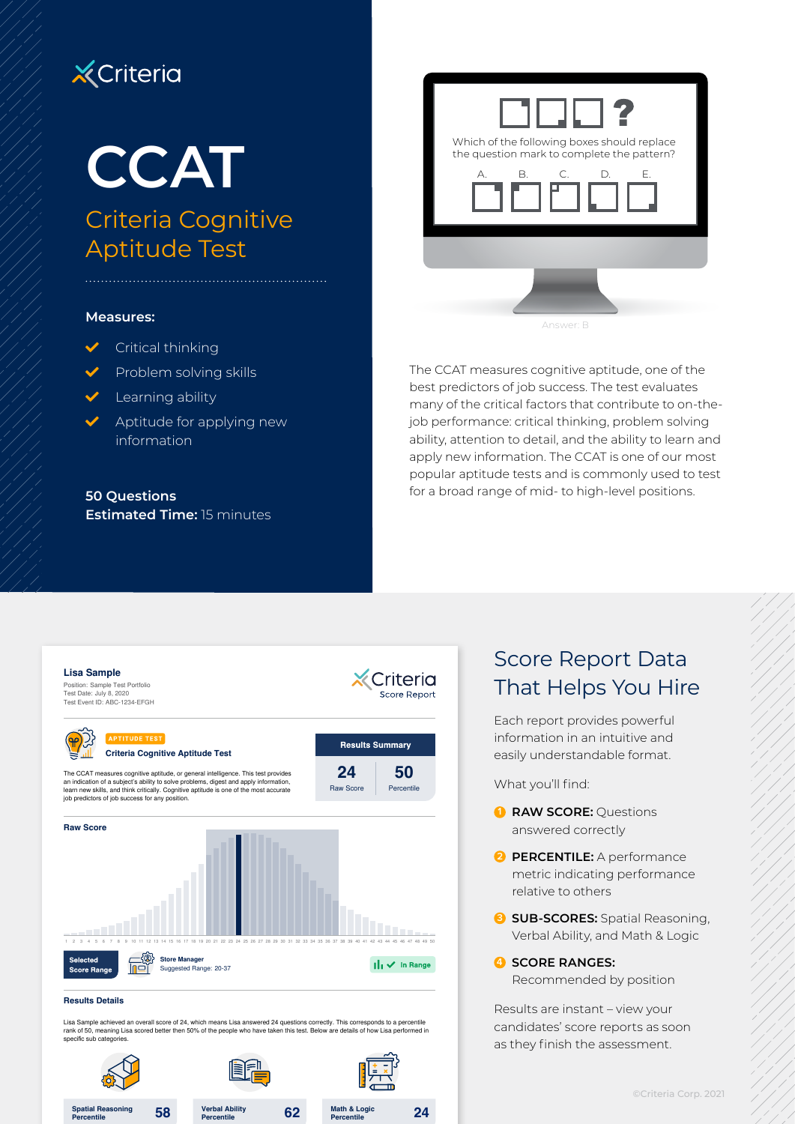# **X** Criteria

Criteria Cognitive Aptitude Test

#### **Measures:**

- $\checkmark$  Critical thinking
- Problem solving skills
- $\vee$  Learning ability
- Aptitude for applying new information

**50 Questions Estimated Time:** 15 minutes



The CCAT measures cognitive aptitude, one of the best predictors of job success. The test evaluates many of the critical factors that contribute to on-thejob performance: critical thinking, problem solving ability, attention to detail, and the ability to learn and apply new information. The CCAT is one of our most popular aptitude tests and is commonly used to test for a broad range of mid- to high-level positions.



#### **Results Details**

**Percentile**

**58 Spatial Reasoning** 

Lisa Sample achieved an overall score of 24, which means Lisa answered 24 questions correctly. This corresponds to a percentile<br>rank of 50, meaning Lisa scored better then 50% of the people who have taken this test. Below specific sub categories

**62 Verbal Ability**

**Percentile**

**24 Math & Logic**

**Percentile**

## Score Report Data That Helps You Hire

Each report provides powerful information in an intuitive and easily understandable format.

What you'll find:

- **1 RAW SCORE:** Questions answered correctly
- **2 PERCENTILE:** A performance metric indicating performance relative to others
- **3 SUB-SCORES:** Spatial Reasoning, Verbal Ability, and Math & Logic

#### **4 SCORE RANGES:**

Recommended by position

Results are instant – view your candidates' score reports as soon as they finish the assessment.